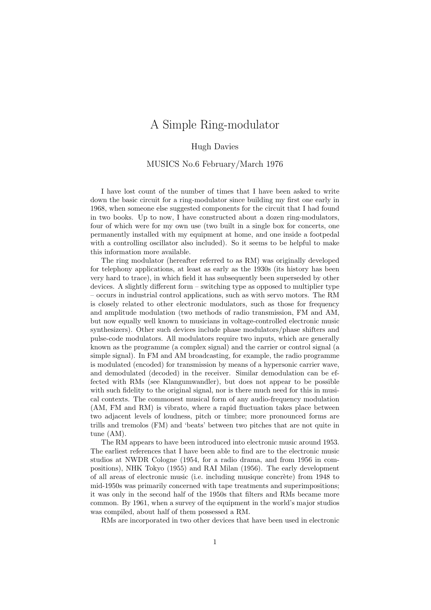# A Simple Ring-modulator

#### Hugh Davies

#### MUSICS No.6 February/March 1976

I have lost count of the number of times that I have been asked to write down the basic circuit for a ring-modulator since building my first one early in 1968, when someone else suggested components for the circuit that I had found in two books. Up to now, I have constructed about a dozen ring-modulators, four of which were for my own use (two built in a single box for concerts, one permanently installed with my equipment at home, and one inside a footpedal with a controlling oscillator also included). So it seems to be helpful to make this information more available.

The ring modulator (hereafter referred to as RM) was originally developed for telephony applications, at least as early as the 1930s (its history has been very hard to trace), in which field it has subsequently been superseded by other devices. A slightly different form – switching type as opposed to multiplier type – occurs in industrial control applications, such as with servo motors. The RM is closely related to other electronic modulators, such as those for frequency and amplitude modulation (two methods of radio transmission, FM and AM, but now equally well known to musicians in voltage-controlled electronic music synthesizers). Other such devices include phase modulators/phase shifters and pulse-code modulators. All modulators require two inputs, which are generally known as the programme (a complex signal) and the carrier or control signal (a simple signal). In FM and AM broadcasting, for example, the radio programme is modulated (encoded) for transmission by means of a hypersonic carrier wave, and demodulated (decoded) in the receiver. Similar demodulation can be effected with RMs (see Klangumwandler), but does not appear to be possible with such fidelity to the original signal, nor is there much need for this in musical contexts. The commonest musical form of any audio-frequency modulation (AM, FM and RM) is vibrato, where a rapid fluctuation takes place between two adjacent levels of loudness, pitch or timbre; more pronounced forms are trills and tremolos (FM) and 'beats' between two pitches that are not quite in tune (AM).

The RM appears to have been introduced into electronic music around 1953. The earliest references that I have been able to find are to the electronic music studios at NWDR Cologne (1954, for a radio drama, and from 1956 in compositions), NHK Tokyo (1955) and RAI Milan (1956). The early development of all areas of electronic music (i.e. including musique concrète) from 1948 to mid-1950s was primarily concerned with tape treatments and superimpositions; it was only in the second half of the 1950s that filters and RMs became more common. By 1961, when a survey of the equipment in the world's major studios was compiled, about half of them possessed a RM.

RMs are incorporated in two other devices that have been used in electronic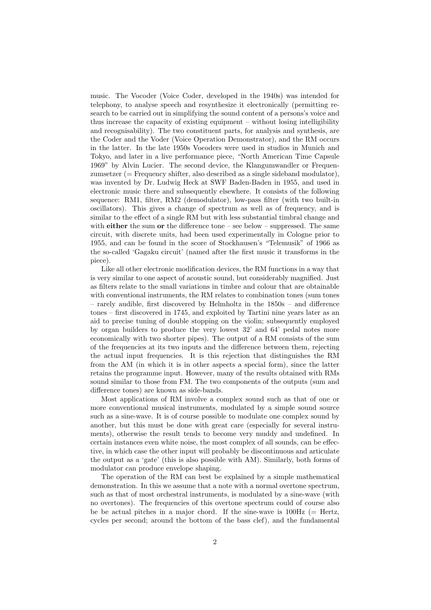music. The Vocoder (Voice Coder, developed in the 1940s) was intended for telephony, to analyse speech and resynthesize it electronically (permitting research to be carried out in simplifying the sound content of a persons's voice and thus increase the capacity of existing equipment – without losing intelligibility and recognisability). The two constituent parts, for analysis and synthesis, are the Coder and the Voder (Voice Operation Demonstrator), and the RM occurs in the latter. In the late 1950s Vocoders were used in studios in Munich and Tokyo, and later in a live performance piece, "North American Time Capsule 1969" by Alvin Lucier. The second device, the Klangumwandler or Frequenzumsetzer (= Frequency shifter, also described as a single sideband modulator), was invented by Dr. Ludwig Heck at SWF Baden-Baden in 1955, and used in electronic music there and subsequently elsewhere. It consists of the following sequence: RM1, filter, RM2 (demodulator), low-pass filter (with two built-in oscillators). This gives a change of spectrum as well as of frequency, and is similar to the effect of a single RM but with less substantial timbral change and with **either** the sum or the difference tone – see below – suppressed. The same circuit, with discrete units, had been used experimentally in Cologne prior to 1955, and can be found in the score of Stockhausen's "Telemusik" of 1966 as the so-called 'Gagaku circuit' (named after the first music it transforms in the piece).

Like all other electronic modification devices, the RM functions in a way that is very similar to one aspect of acoustic sound, but considerably magnified. Just as filters relate to the small variations in timbre and colour that are obtainable with conventional instruments, the RM relates to combination tones (sum tones – rarely audible, first discovered by Helmholtz in the 1850s – and difference tones – first discovered in 1745, and exploited by Tartini nine years later as an aid to precise tuning of double stopping on the violin; subsequently employed by organ builders to produce the very lowest 32' and 64' pedal notes more economically with two shorter pipes). The output of a RM consists of the sum of the frequencies at its two inputs and the difference between them, rejecting the actual input frequencies. It is this rejection that distinguishes the RM from the AM (in which it is in other aspects a special form), since the latter retains the programme input. However, many of the results obtained with RMs sound similar to those from FM. The two components of the outputs (sum and difference tones) are known as side-bands.

Most applications of RM involve a complex sound such as that of one or more conventional musical instruments, modulated by a simple sound source such as a sine-wave. It is of course possible to modulate one complex sound by another, but this must be done with great care (especially for several instruments), otherwise the result tends to become very muddy and undefined. In certain instances even white noise, the most complex of all sounds, can be effective, in which case the other input will probably be discontinuous and articulate the output as a 'gate' (this is also possible with AM). Similarly, both forms of modulator can produce envelope shaping.

The operation of the RM can best be explained by a simple mathematical demonstration. In this we assume that a note with a normal overtone spectrum, such as that of most orchestral instruments, is modulated by a sine-wave (with no overtones). The frequencies of this overtone spectrum could of course also be be actual pitches in a major chord. If the sine-wave is  $100\text{Hz}$  (= Hertz, cycles per second; around the bottom of the bass clef), and the fundamental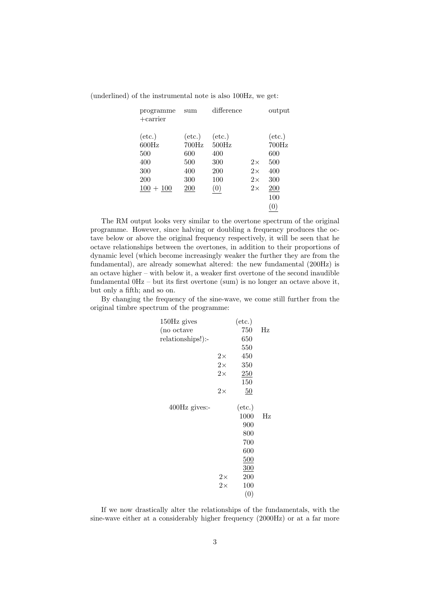| programme<br>$+$ carrier                                            | sum                                                         | difference                                                  |                                                  | output                                                                  |
|---------------------------------------------------------------------|-------------------------------------------------------------|-------------------------------------------------------------|--------------------------------------------------|-------------------------------------------------------------------------|
| $(\text{etc.})$<br>600Hz<br>500<br>400<br>300<br>200<br>$100 + 100$ | $(\text{etc.})$<br>700Hz<br>600<br>500<br>400<br>300<br>200 | $(\text{etc.})$<br>500Hz<br>400<br>300<br>200<br>100<br>(0) | $2\times$<br>$2\times$<br>$2\times$<br>$2\times$ | $(\text{etc.})$<br>700Hz<br>600<br>500<br>400<br>300<br>200<br>100<br>0 |

(underlined) of the instrumental note is also 100Hz, we get:

The RM output looks very similar to the overtone spectrum of the original programme. However, since halving or doubling a frequency produces the octave below or above the original frequency respectively, it will be seen that he octave relationships between the overtones, in addition to their proportions of dynamic level (which become increasingly weaker the further they are from the fundamental), are already somewhat altered: the new fundamental (200Hz) is an octave higher – with below it, a weaker first overtone of the second inaudible fundamental 0Hz – but its first overtone (sum) is no longer an octave above it, but only a fifth; and so on.

By changing the frequency of the sine-wave, we come still further from the original timbre spectrum of the programme:

| 150Hz gives       |           | $(\text{etc.})$ |             |
|-------------------|-----------|-----------------|-------------|
| (no octave        |           | 750             | $_{\rm Hz}$ |
| relationships!):- |           | 650             |             |
|                   |           | 550             |             |
|                   | $2\times$ | 450             |             |
|                   | $2\times$ | 350             |             |
|                   | $2\times$ | 250             |             |
|                   |           | 150             |             |
|                   | $2\times$ | 50              |             |
| 400Hz gives:-     |           | $(\text{etc.})$ |             |
|                   |           | 1000            | Hz          |
|                   |           | 900             |             |
|                   |           | 800             |             |
|                   |           | 700             |             |
|                   |           | 600             |             |
|                   |           | 500             |             |
|                   |           | 300             |             |
|                   | $2\times$ | 200             |             |
|                   | $2\times$ | 100             |             |
|                   |           | (0)             |             |
|                   |           |                 |             |

If we now drastically alter the relationships of the fundamentals, with the sine-wave either at a considerably higher frequency (2000Hz) or at a far more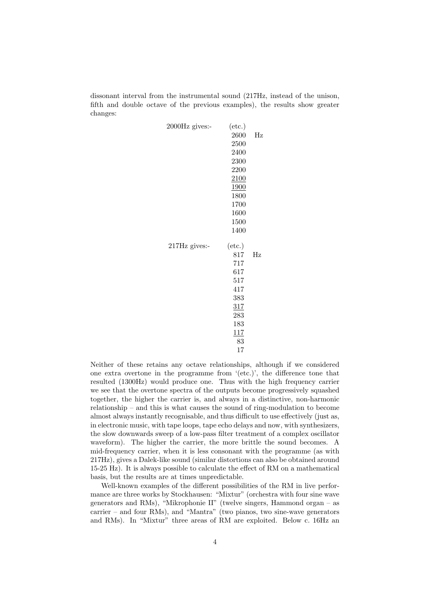dissonant interval from the instrumental sound (217Hz, instead of the unison, fifth and double octave of the previous examples), the results show greater changes:

| 2000Hz gives:- | $(\text{etc.})$<br>2600<br>2500<br>2400<br>2300<br>2200<br>2100<br>1900<br>1800<br>1700<br>1600<br>1500<br>1400 | $_{\rm Hz}$ |
|----------------|-----------------------------------------------------------------------------------------------------------------|-------------|
| 217Hz gives:-  | $(\text{etc.})$<br>817<br>717<br>617<br>517<br>417<br>383<br>317<br>283<br>183<br>117<br>83<br>17               | Hz          |

Neither of these retains any octave relationships, although if we considered one extra overtone in the programme from '(etc.)', the difference tone that resulted (1300Hz) would produce one. Thus with the high frequency carrier we see that the overtone spectra of the outputs become progressively squashed together, the higher the carrier is, and always in a distinctive, non-harmonic relationship – and this is what causes the sound of ring-modulation to become almost always instantly recognisable, and thus difficult to use effectively (just as, in electronic music, with tape loops, tape echo delays and now, with synthesizers, the slow downwards sweep of a low-pass filter treatment of a complex oscillator waveform). The higher the carrier, the more brittle the sound becomes. A mid-frequency carrier, when it is less consonant with the programme (as with 217Hz), gives a Dalek-like sound (similar distortions can also be obtained around 15-25 Hz). It is always possible to calculate the effect of RM on a mathematical basis, but the results are at times unpredictable.

Well-known examples of the different possibilities of the RM in live performance are three works by Stockhausen: "Mixtur" (orchestra with four sine wave generators and RMs), "Mikrophonie II" (twelve singers, Hammond organ – as carrier – and four RMs), and "Mantra" (two pianos, two sine-wave generators and RMs). In "Mixtur" three areas of RM are exploited. Below c. 16Hz an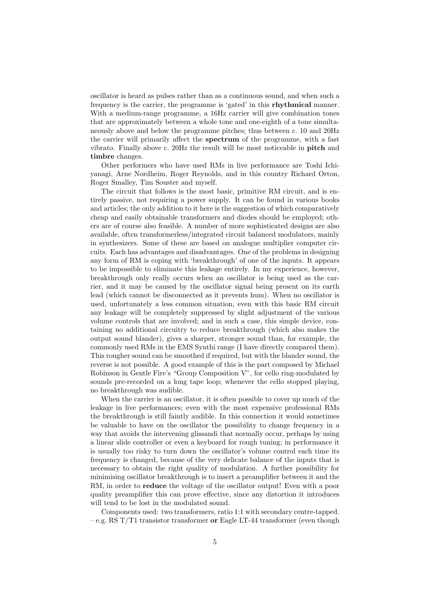oscillator is heard as pulses rather than as a continuous sound, and when such a frequency is the carrier, the programme is 'gated' in this rhythmical manner. With a medium-range programme, a 16Hz carrier will give combination tones that are approximately between a whole tone and one-eighth of a tone simultaneously above and below the programme pitches; thus between c. 10 and 20Hz the carrier will primarily affect the spectrum of the programme, with a fast vibrato. Finally above c. 20Hz the result will be most noticeable in pitch and timbre changes.

Other performers who have used RMs in live performance are Toshi Ichiyanagi, Arne Nordheim, Roger Reynolds, and in this country Richard Orton, Roger Smalley, Tim Souster and myself.

The circuit that follows is the most basic, primitive RM circuit, and is entirely passive, not requiring a power supply. It can be found in various books and articles; the only addition to it here is the suggestion of which comparatively cheap and easily obtainable transformers and diodes should be employed; others are of course also feasible. A number of more sophisticated designs are also available, often transformerless/integrated circuit balanced modulators, mainly in synthesizers. Some of these are based on analogue multiplier computer circuits. Each has advantages and disadvantages. One of the problems in designing any form of RM is coping with 'breakthrough' of one of the inputs. It appears to be impossible to eliminate this leakage entirely. In my experience, however, breakthrough only really occurs when an oscillator is being used as the carrier, and it may be caused by the oscillator signal being present on its earth lead (which cannot be disconnected as it prevents hum). When no oscillator is used, unfortunately a less common situation, even with this basic RM circuit any leakage will be completely suppressed by slight adjustment of the various volume controls that are involved; and in such a case, this simple device, containing no additional circuitry to reduce breakthrough (which also makes the output sound blander), gives a sharper, stronger sound than, for example, the commonly used RMs in the EMS Synthi range (I have directly compared them). This rougher sound can be smoothed if required, but with the blander sound, the reverse is not possible. A good example of this is the part composed by Michael Robinson in Gentle Fire's "Group Composition V", for cello ring-modulated by sounds pre-recorded on a long tape loop; whenever the cello stopped playing, no breakthrough was audible.

When the carrier is an oscillator, it is often possible to cover up much of the leakage in live performances; even with the most expensive professional RMs the breakthrough is still faintly audible. In this connection it would sometimes be valuable to have on the oscillator the possibility to change frequency in a way that avoids the intervening glissandi that normally occur, perhaps by using a linear slide controller or even a keyboard for rough tuning; in performance it is usually too risky to turn down the oscillator's volume control each time its frequency is changed, because of the very delicate balance of the inputs that is necessary to obtain the right quality of modulation. A further possibility for minimising oscillator breakthrough is to insert a preamplifier between it and the RM, in order to **reduce** the voltage of the oscillator output! Even with a poor quality preamplifier this can prove effective, since any distortion it introduces will tend to be lost in the modulated sound.

Components used: two transformers, ratio 1:1 with secondary centre-tapped. – e.g. RS T/T1 transistor transformer or Eagle LT-44 transformer (even though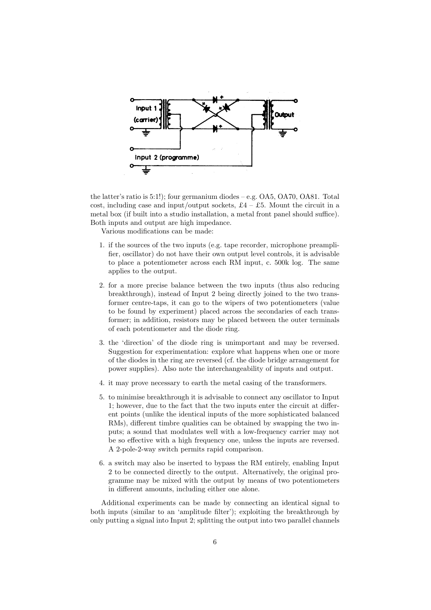

the latter's ratio is 5:1!); four germanium diodes – e.g. OA5, OA70, OA81. Total cost, including case and input/output sockets,  $\pounds 4 - \pounds 5$ . Mount the circuit in a metal box (if built into a studio installation, a metal front panel should suffice). Both inputs and output are high impedance.

Various modifications can be made:

- 1. if the sources of the two inputs (e.g. tape recorder, microphone preamplifier, oscillator) do not have their own output level controls, it is advisable to place a potentiometer across each RM input, c. 500k log. The same applies to the output.
- 2. for a more precise balance between the two inputs (thus also reducing breakthrough), instead of Input 2 being directly joined to the two transformer centre-taps, it can go to the wipers of two potentiometers (value to be found by experiment) placed across the secondaries of each transformer; in addition, resistors may be placed between the outer terminals of each potentiometer and the diode ring.
- 3. the 'direction' of the diode ring is unimportant and may be reversed. Suggestion for experimentation: explore what happens when one or more of the diodes in the ring are reversed (cf. the diode bridge arrangement for power supplies). Also note the interchangeability of inputs and output.
- 4. it may prove necessary to earth the metal casing of the transformers.
- 5. to minimise breakthrough it is advisable to connect any oscillator to Input 1; however, due to the fact that the two inputs enter the circuit at different points (unlike the identical inputs of the more sophisticated balanced RMs), different timbre qualities can be obtained by swapping the two inputs; a sound that modulates well with a low-frequency carrier may not be so effective with a high frequency one, unless the inputs are reversed. A 2-pole-2-way switch permits rapid comparison.
- 6. a switch may also be inserted to bypass the RM entirely, enabling Input 2 to be connected directly to the output. Alternatively, the original programme may be mixed with the output by means of two potentiometers in different amounts, including either one alone.

Additional experiments can be made by connecting an identical signal to both inputs (similar to an 'amplitude filter'); exploiting the breakthrough by only putting a signal into Input 2; splitting the output into two parallel channels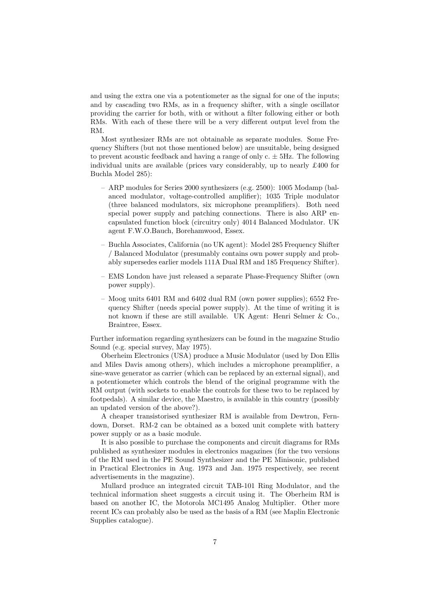and using the extra one via a potentiometer as the signal for one of the inputs; and by cascading two RMs, as in a frequency shifter, with a single oscillator providing the carrier for both, with or without a filter following either or both RMs. With each of these there will be a very different output level from the RM.

Most synthesizer RMs are not obtainable as separate modules. Some Frequency Shifters (but not those mentioned below) are unsuitable, being designed to prevent acoustic feedback and having a range of only  $c. \pm 5$ Hz. The following individual units are available (prices vary considerably, up to nearly £400 for Buchla Model 285):

- ARP modules for Series 2000 synthesizers (e.g. 2500): 1005 Modamp (balanced modulator, voltage-controlled amplifier); 1035 Triple modulator (three balanced modulators, six microphone preamplifiers). Both need special power supply and patching connections. There is also ARP encapsulated function block (circuitry only) 4014 Balanced Modulator. UK agent F.W.O.Bauch, Borehamwood, Essex.
- Buchla Associates, California (no UK agent): Model 285 Frequency Shifter / Balanced Modulator (presumably contains own power supply and probably supersedes earlier models 111A Dual RM and 185 Frequency Shifter).
- EMS London have just released a separate Phase-Frequency Shifter (own power supply).
- Moog units 6401 RM and 6402 dual RM (own power supplies); 6552 Frequency Shifter (needs special power supply). At the time of writing it is not known if these are still available. UK Agent: Henri Selmer & Co., Braintree, Essex.

Further information regarding synthesizers can be found in the magazine Studio Sound (e.g. special survey, May 1975).

Oberheim Electronics (USA) produce a Music Modulator (used by Don Ellis and Miles Davis among others), which includes a microphone preamplifier, a sine-wave generator as carrier (which can be replaced by an external signal), and a potentiometer which controls the blend of the original programme with the RM output (with sockets to enable the controls for these two to be replaced by footpedals). A similar device, the Maestro, is available in this country (possibly an updated version of the above?).

A cheaper transistorised synthesizer RM is available from Dewtron, Ferndown, Dorset. RM-2 can be obtained as a boxed unit complete with battery power supply or as a basic module.

It is also possible to purchase the components and circuit diagrams for RMs published as synthesizer modules in electronics magazines (for the two versions of the RM used in the PE Sound Synthesizer and the PE Minisonic, published in Practical Electronics in Aug. 1973 and Jan. 1975 respectively, see recent advertisements in the magazine).

Mullard produce an integrated circuit TAB-101 Ring Modulator, and the technical information sheet suggests a circuit using it. The Oberheim RM is based on another IC, the Motorola MC1495 Analog Multiplier. Other more recent ICs can probably also be used as the basis of a RM (see Maplin Electronic Supplies catalogue).